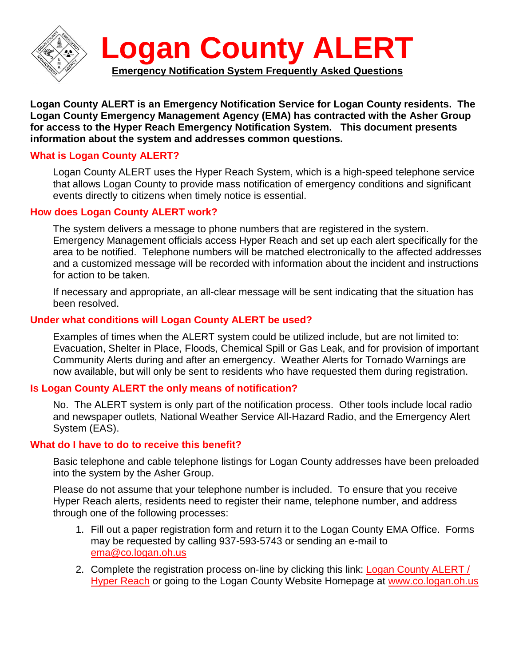

**Logan County ALERT is an Emergency Notification Service for Logan County residents. The Logan County Emergency Management Agency (EMA) has contracted with the Asher Group for access to the Hyper Reach Emergency Notification System. This document presents information about the system and addresses common questions.**

# **What is Logan County ALERT?**

Logan County ALERT uses the Hyper Reach System, which is a high-speed telephone service that allows Logan County to provide mass notification of emergency conditions and significant events directly to citizens when timely notice is essential.

### **How does Logan County ALERT work?**

The system delivers a message to phone numbers that are registered in the system. Emergency Management officials access Hyper Reach and set up each alert specifically for the area to be notified. Telephone numbers will be matched electronically to the affected addresses and a customized message will be recorded with information about the incident and instructions for action to be taken.

If necessary and appropriate, an all-clear message will be sent indicating that the situation has been resolved.

### **Under what conditions will Logan County ALERT be used?**

Examples of times when the ALERT system could be utilized include, but are not limited to: Evacuation, Shelter in Place, Floods, Chemical Spill or Gas Leak, and for provision of important Community Alerts during and after an emergency. Weather Alerts for Tornado Warnings are now available, but will only be sent to residents who have requested them during registration.

### **Is Logan County ALERT the only means of notification?**

No. The ALERT system is only part of the notification process. Other tools include local radio and newspaper outlets, National Weather Service All-Hazard Radio, and the Emergency Alert System (EAS).

#### **What do I have to do to receive this benefit?**

Basic telephone and cable telephone listings for Logan County addresses have been preloaded into the system by the Asher Group.

Please do not assume that your telephone number is included. To ensure that you receive Hyper Reach alerts, residents need to register their name, telephone number, and address through one of the following processes:

- 1. Fill out a paper registration form and return it to the Logan County EMA Office. Forms may be requested by calling 937-593-5743 or sending an e-mail to [ema@co.logan.oh.us](mailto:ema@co.logan.oh.us)
- 2. Complete the registration process on-line by clicking this link: Logan County ALERT / [Hyper Reach](http://www.hyper-reach.com/ohlogansignup.html) or going to the Logan County Website Homepage at [www.co.logan.oh.us](http://www.co.logan.oh.us/)